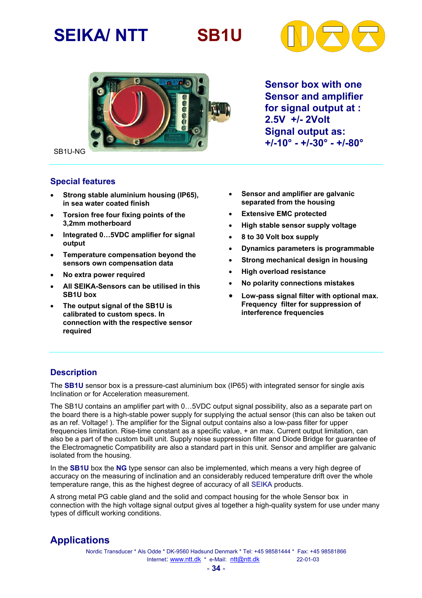# **SEIKA/ NTT SB1U**





**Sensor box with one Sensor and amplifier for signal output at : 2.5V +/- 2Volt Signal output as: +/-10° - +/-30° - +/-80°**

SB1U-NG

#### **Special features**

- **Strong stable aluminium housing (IP65), in sea water coated finish**
- **Torsion free four fixing points of the 3,2mm motherboard**
- **Integrated 0…5VDC amplifier for signal output**
- **Temperature compensation beyond the sensors own compensation data**
- **No extra power required**
- **All SEIKA-Sensors can be utilised in this SB1U box**
- **The output signal of the SB1U is calibrated to custom specs. In connection with the respective sensor required**
- **Sensor and amplifier are galvanic separated from the housing**
- **Extensive EMC protected**
- **High stable sensor supply voltage**
- **8 to 30 Volt box supply**
- **Dynamics parameters is programmable**
- **Strong mechanical design in housing**
- **High overload resistance**
- **No polarity connections mistakes**
- **Low-pass signal filter with optional max. Frequency filter for suppression of interference frequencies**

#### **Description**

The **SB1U** sensor box is a pressure-cast aluminium box (IP65) with integrated sensor for single axis Inclination or for Acceleration measurement.

The SB1U contains an amplifier part with 0…5VDC output signal possibility, also as a separate part on the board there is a high-stable power supply for supplying the actual sensor (this can also be taken out as an ref. Voltage! ). The amplifier for the Signal output contains also a low-pass filter for upper frequencies limitation. Rise-time constant as a specific value, + an max. Current output limitation, can also be a part of the custom built unit. Supply noise suppression filter and Diode Bridge for guarantee of the Electromagnetic Compatibility are also a standard part in this unit. Sensor and amplifier are galvanic isolated from the housing.

In the **SB1U** box the **NG** type sensor can also be implemented, which means a very high degree of accuracy on the measuring of inclination and an considerably reduced temperature drift over the whole temperature range, this as the highest degree of accuracy of all SEIKA products.

A strong metal PG cable gland and the solid and compact housing for the whole Sensor box in connection with the high voltage signal output gives al together a high-quality system for use under many types of difficult working conditions.

### **Applications**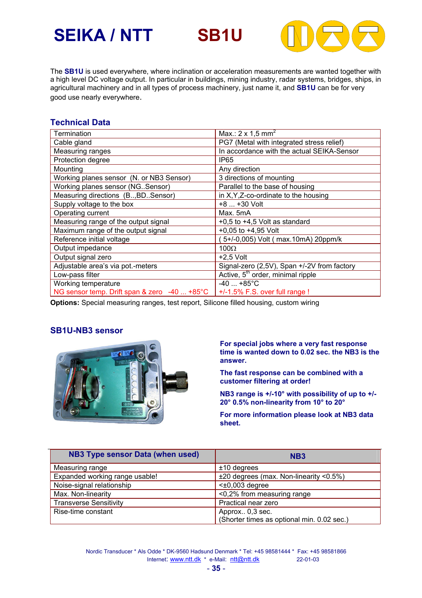# **SEIKA / NTT SB1U**



The **SB1U** is used everywhere, where inclination or acceleration measurements are wanted together with a high level DC voltage output. In particular in buildings, mining industry, radar systems, bridges, ships, in agricultural machinery and in all types of process machinery, just name it, and **SB1U** can be for very good use nearly everywhere.

#### **Technical Data**

| Termination                                  | Max.: $2 \times 1.5$ mm <sup>2</sup>          |  |  |
|----------------------------------------------|-----------------------------------------------|--|--|
| Cable gland                                  | PG7 (Metal with integrated stress relief)     |  |  |
| Measuring ranges                             | In accordance with the actual SEIKA-Sensor    |  |  |
| Protection degree                            | IP <sub>65</sub>                              |  |  |
| Mounting                                     | Any direction                                 |  |  |
| Working planes sensor (N. or NB3 Sensor)     | 3 directions of mounting                      |  |  |
| Working planes sensor (NG. Sensor)           | Parallel to the base of housing               |  |  |
| Measuring directions (B., BD. Sensor)        | in X, Y, Z-co-ordinate to the housing         |  |  |
| Supply voltage to the box                    | $+8+30$ Volt                                  |  |  |
| Operating current                            | Max. 5mA                                      |  |  |
| Measuring range of the output signal         | $+0.5$ to $+4.5$ Volt as standard             |  |  |
| Maximum range of the output signal           | $+0.05$ to $+4.95$ Volt                       |  |  |
| Reference initial voltage                    | 5+/-0,005) Volt ( max.10mA) 20ppm/k           |  |  |
| Output impedance                             | $100\Omega$                                   |  |  |
| Output signal zero                           | $+2,5$ Volt                                   |  |  |
| Adjustable area's via pot.-meters            | Signal-zero (2,5V), Span +/-2V from factory   |  |  |
| Low-pass filter                              | Active, 5 <sup>th</sup> order, minimal ripple |  |  |
| Working temperature                          | $-40$ +85°C                                   |  |  |
| NG sensor temp. Drift span & zero -40  +85°C | +/-1.5% F.S. over full range !                |  |  |

**Options:** Special measuring ranges, test report, Silicone filled housing, custom wiring

#### **SB1U-NB3 sensor**



**For special jobs where a very fast response time is wanted down to 0.02 sec. the NB3 is the answer.** 

**The fast response can be combined with a customer filtering at order!** 

**NB3 range is +/-10° with possibility of up to +/- 20° 0.5% non-linearity from 10° to 20°** 

**For more information please look at NB3 data sheet.**

| NB3 Type sensor Data (when used) | NB <sub>3</sub>                             |  |
|----------------------------------|---------------------------------------------|--|
| Measuring range                  | $±10$ degrees                               |  |
| Expanded working range usable!   | $\pm 20$ degrees (max. Non-linearity <0.5%) |  |
| Noise-signal relationship        | $\leq \pm 0.003$ degree                     |  |
| Max. Non-linearity               | <0,2% from measuring range                  |  |
| <b>Transverse Sensitivity</b>    | Practical near zero                         |  |
| Rise-time constant               | Approx 0,3 sec.                             |  |
|                                  | (Shorter times as optional min. 0.02 sec.)  |  |